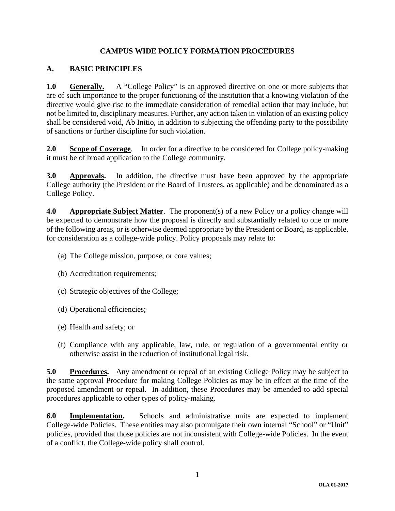# **CAMPUS WIDE POLICY FORMATION PROCEDURES**

# **A. BASIC PRINCIPLES**

**1.0 Generally.** A "College Policy" is an approved directive on one or more subjects that are of such importance to the proper functioning of the institution that a knowing violation of the directive would give rise to the immediate consideration of remedial action that may include, but not be limited to, disciplinary measures. Further, any action taken in violation of an existing policy shall be considered void, Ab Initio, in addition to subjecting the offending party to the possibility of sanctions or further discipline for such violation.

**2.0 Scope of Coverage.** In order for a directive to be considered for College policy-making it must be of broad application to the College community.

**3.0 Approvals.** In addition, the directive must have been approved by the appropriate College authority (the President or the Board of Trustees, as applicable) and be denominated as a College Policy.

**4.0** Appropriate Subject Matter. The proponent(s) of a new Policy or a policy change will be expected to demonstrate how the proposal is directly and substantially related to one or more of the following areas, or is otherwise deemed appropriate by the President or Board, as applicable, for consideration as a college-wide policy. Policy proposals may relate to:

- (a) The College mission, purpose, or core values;
- (b) Accreditation requirements;
- (c) Strategic objectives of the College;
- (d) Operational efficiencies;
- (e) Health and safety; or
- (f) Compliance with any applicable, law, rule, or regulation of a governmental entity or otherwise assist in the reduction of institutional legal risk.

**5.0 Procedures.** Any amendment or repeal of an existing College Policy may be subject to the same approval Procedure for making College Policies as may be in effect at the time of the proposed amendment or repeal. In addition, these Procedures may be amended to add special procedures applicable to other types of policy-making.

**6.0 Implementation.** Schools and administrative units are expected to implement College-wide Policies. These entities may also promulgate their own internal "School" or "Unit" policies, provided that those policies are not inconsistent with College-wide Policies. In the event of a conflict, the College-wide policy shall control.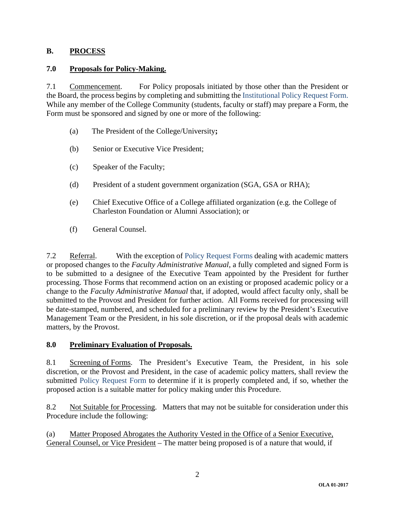### **B. PROCESS**

### **7.0 Proposals for Policy-Making.**

7.1 Commencement. For Policy proposals initiated by those other than the President or the Board, the process begins by completing and submitting the Institutional Policy Request Form. While any member of the College Community (students, faculty or staff) may prepare a Form, the Form must be sponsored and signed by one or more of the following:

- (a)The President of the College/University**;**
- (b) Senior or Executive Vice President;
- (c) Speaker of the Faculty;
- (d) President of a student government organization (SGA, GSA or RHA);
- (e) Chief Executive Office of a College affiliated organization (e.g. the College of Charleston Foundation or Alumni Association); or
- (f) General Counsel.

7.2 Referral. With the exception of Policy Request Forms dealing with academic matters or proposed changes to the *Faculty Administrative Manual*, a fully completed and signed Form is to be submitted to a designee of the Executive Team appointed by the President for further processing. Those Forms that recommend action on an existing or proposed academic policy or a change to the *Faculty Administrative Manual* that, if adopted, would affect faculty only, shall be submitted to the Provost and President for further action. All Forms received for processing will be date-stamped, numbered, and scheduled for a preliminary review by the President's Executive Management Team or the President, in his sole discretion, or if the proposal deals with academic matters, by the Provost.

#### **8.0 Preliminary Evaluation of Proposals.**

8.1 Screening of Forms. The President's Executive Team, the President, in his sole discretion, or the Provost and President, in the case of academic policy matters, shall review the submitted Policy Request Form to determine if it is properly completed and, if so, whether the proposed action is a suitable matter for policy making under this Procedure.

8.2 Not Suitable for Processing. Matters that may not be suitable for consideration under this Procedure include the following:

(a) Matter Proposed Abrogates the Authority Vested in the Office of a Senior Executive, General Counsel, or Vice President – The matter being proposed is of a nature that would, if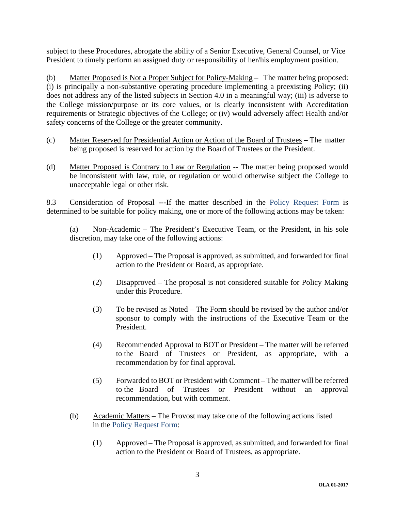subject to these Procedures, abrogate the ability of a Senior Executive, General Counsel, or Vice President to timely perform an assigned duty or responsibility of her/his employment position.

(b) Matter Proposed is Not a Proper Subject for Policy-Making – The matter being proposed: (i) is principally a non-substantive operating procedure implementing a preexisting Policy; (ii) does not address any of the listed subjects in Section 4.0 in a meaningful way; (iii) is adverse to the College mission/purpose or its core values, or is clearly inconsistent with Accreditation requirements or Strategic objectives of the College; or (iv) would adversely affect Health and/or safety concerns of the College or the greater community.

- (c) Matter Reserved for Presidential Action or Action of the Board of TrusteesThe matter being proposed is reserved for action by the Board of Trustees or the President.
- (d) Matter Proposed is Contrary to Law or Regulation -- The matter being proposed would be inconsistent with law, rule, or regulation or would otherwise subject the College to unacceptable legal or other risk.

8.3 Consideration of Proposal **---**If the matter described in the Policy Request Form is determined to be suitable for policy making, one or more of the following actions may be taken:

(a) Non-Academic – The President's Executive Team, or the President, in his sole discretion, may take one of the following actions:

- (1) Approved The Proposal is approved, as submitted, and forwarded for final action to the President or Board, as appropriate.
- (2) Disapproved The proposal is not considered suitable for Policy Making under this Procedure.
- (3) To be revised as Noted The Form should be revised by the author and/or sponsor to comply with the instructions of the Executive Team or the President.
- (4) Recommended Approval to BOT or President The matter will be referred to the Board of Trustees or President, as appropriate, with a recommendation by for final approval.
- (5) Forwarded to BOT or President with Comment The matter will be referred to the Board of Trustees or President without an approval recommendation, but with comment.
- (b) Academic Matters The Provost may take one of the following actions listed in the Policy Request Form:
	- (1) Approved The Proposal is approved, as submitted, and forwarded for final action to the President or Board of Trustees, as appropriate.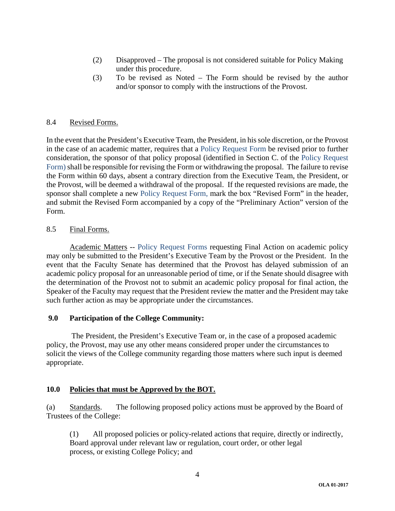- (2) Disapproved The proposal is not considered suitable for Policy Making under this procedure.
- (3) To be revised as Noted The Form should be revised by the author and/or sponsor to comply with the instructions of the Provost.

#### 8.4 Revised Forms.

In the event that the President's Executive Team, the President, in his sole discretion, or the Provost in the case of an academic matter, requires that a Policy Request Form be revised prior to further consideration, the sponsor of that policy proposal (identified in Section C. of the Policy Request Form) shall be responsible for revising the Form or withdrawing the proposal. The failure to revise the Form within 60 days, absent a contrary direction from the Executive Team, the President, or the Provost, will be deemed a withdrawal of the proposal. If the requested revisions are made, the sponsor shall complete a new Policy Request Form, mark the box "Revised Form" in the header, and submit the Revised Form accompanied by a copy of the "Preliminary Action" version of the Form.

#### 8.5 Final Forms.

 Academic Matters -- Policy Request Forms requesting Final Action on academic policy may only be submitted to the President's Executive Team by the Provost or the President. In the event that the Faculty Senate has determined that the Provost has delayed submission of an academic policy proposal for an unreasonable period of time, or if the Senate should disagree with the determination of the Provost not to submit an academic policy proposal for final action, the Speaker of the Faculty may request that the President review the matter and the President may take such further action as may be appropriate under the circumstances.

#### **9.0 Participation of the College Community:**

 The President, the President's Executive Team or, in the case of a proposed academic policy, the Provost, may use any other means considered proper under the circumstances to solicit the views of the College community regarding those matters where such input is deemed appropriate.

#### **10.0 Policies that must be Approved by the BOT.**

(a) Standards. The following proposed policy actions must be approved by the Board of Trustees of the College:

 (1) All proposed policies or policy-related actions that require, directly or indirectly, Board approval under relevant law or regulation, court order, or other legal process, or existing College Policy; and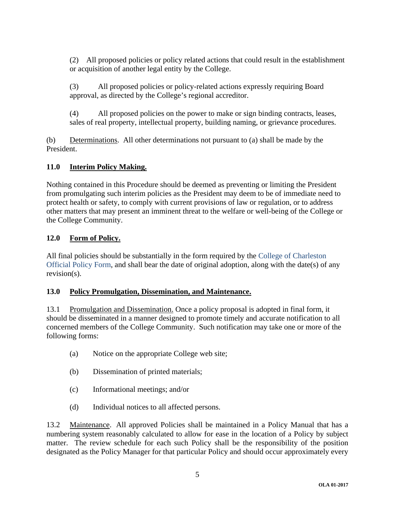(2) All proposed policies or policy related actions that could result in the establishment or acquisition of another legal entity by the College.

(3) All proposed policies or policy-related actions expressly requiring Board approval, as directed by the College's regional accreditor.

(4) All proposed policies on the power to make or sign binding contracts, leases, sales of real property, intellectual property, building naming, or grievance procedures.

(b) Determinations. All other determinations not pursuant to (a) shall be made by the President.

# **11.0 Interim Policy Making.**

Nothing contained in this Procedure should be deemed as preventing or limiting the President from promulgating such interim policies as the President may deem to be of immediate need to protect health or safety, to comply with current provisions of law or regulation, or to address other matters that may present an imminent threat to the welfare or well-being of the College or the College Community.

# **12.0 Form of Policy.**

All final policies should be substantially in the form required by the College of Charleston Official Policy Form, and shall bear the date of original adoption, along with the date(s) of any revision(s).

### **13.0 Policy Promulgation, Dissemination, and Maintenance.**

13.1 Promulgation and Dissemination. Once a policy proposal is adopted in final form, it should be disseminated in a manner designed to promote timely and accurate notification to all concerned members of the College Community. Such notification may take one or more of the following forms:

- (a) Notice on the appropriate College web site;
- (b) Dissemination of printed materials;
- (c) Informational meetings; and/or
- (d) Individual notices to all affected persons.

13.2 Maintenance. All approved Policies shall be maintained in a Policy Manual that has a numbering system reasonably calculated to allow for ease in the location of a Policy by subject matter. The review schedule for each such Policy shall be the responsibility of the position designated as the Policy Manager for that particular Policy and should occur approximately every